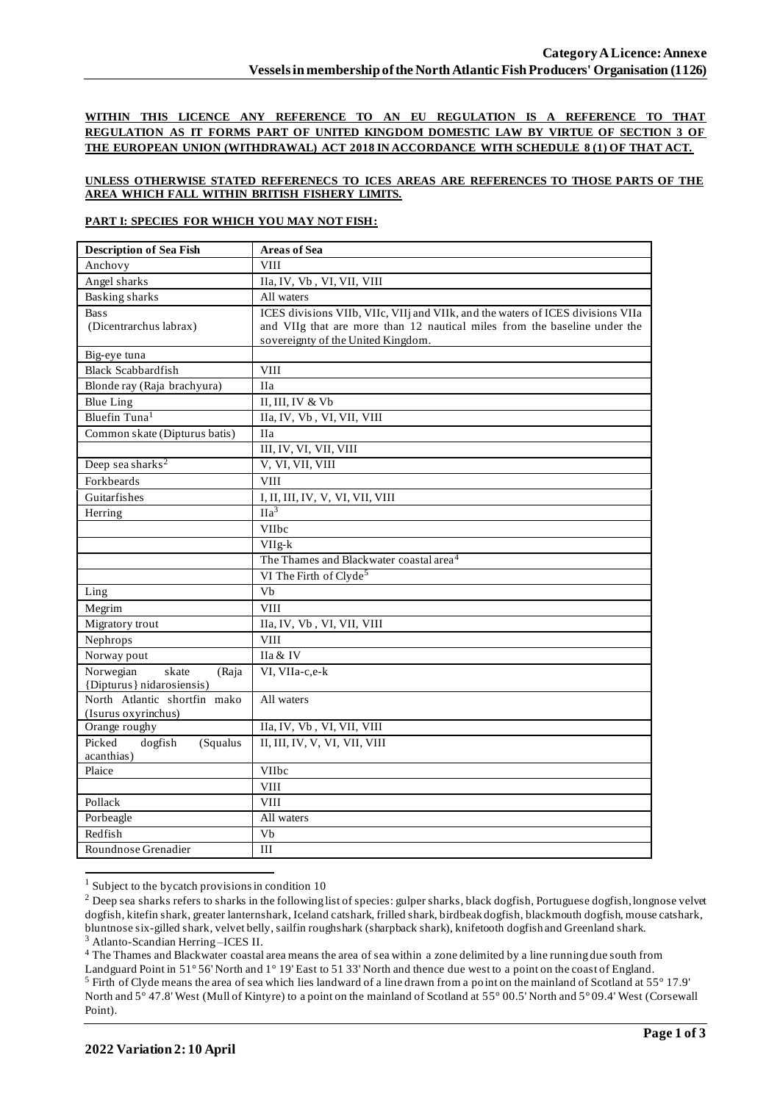**WITHIN THIS LICENCE ANY REFERENCE TO AN EU REGULATION IS A REFERENCE TO THAT REGULATION AS IT FORMS PART OF UNITED KINGDOM DOMESTIC LAW BY VIRTUE OF SECTION 3 OF THE EUROPEAN UNION (WITHDRAWAL) ACT 2018 IN ACCORDANCE WITH SCHEDULE 8 (1) OF THAT ACT.**

# **UNLESS OTHERWISE STATED REFERENECS TO ICES AREAS ARE REFERENCES TO THOSE PARTS OF THE AREA WHICH FALL WITHIN BRITISH FISHERY LIMITS.**

# **PART I: SPECIES FOR WHICH YOU MAY NOT FISH:**

| <b>Description of Sea Fish</b>              | <b>Areas of Sea</b>                                                             |
|---------------------------------------------|---------------------------------------------------------------------------------|
| Anchovy                                     | <b>VIII</b>                                                                     |
| Angel sharks                                | IIa, IV, Vb, VI, VII, VIII                                                      |
| <b>Basking sharks</b>                       | All waters                                                                      |
| <b>Bass</b>                                 | ICES divisions VIIb, VIIc, VIIj and VIIk, and the waters of ICES divisions VIIa |
| (Dicentrarchus labrax)                      | and VIIg that are more than 12 nautical miles from the baseline under the       |
|                                             | sovereignty of the United Kingdom.                                              |
| Big-eye tuna                                |                                                                                 |
| <b>Black Scabbardfish</b>                   | VIII                                                                            |
| Blonde ray (Raja brachyura)                 | <b>IIa</b>                                                                      |
| <b>Blue Ling</b>                            | II, III, IV & Vb                                                                |
| Bluefin Tuna <sup>1</sup>                   | IIa, IV, Vb, VI, VII, VIII                                                      |
| Common skate (Dipturus batis)               | <b>IIa</b>                                                                      |
|                                             | III, IV, VI, VII, VIII                                                          |
| Deep sea sharks <sup>2</sup>                | V, VI, VII, VIII                                                                |
| Forkbeards                                  | <b>VIII</b>                                                                     |
| Guitarfishes                                | I, II, III, IV, V, VI, VII, VIII                                                |
| Herring                                     | IIa <sup>3</sup>                                                                |
|                                             | VIIbc                                                                           |
|                                             | VIIg-k                                                                          |
|                                             | The Thames and Blackwater coastal area <sup>4</sup>                             |
|                                             | VI The Firth of Clyde <sup>5</sup>                                              |
| Ling                                        | Vb                                                                              |
| Megrim                                      | <b>VIII</b>                                                                     |
| Migratory trout                             | IIa, IV, Vb, VI, VII, VIII                                                      |
| Nephrops                                    | <b>VIII</b>                                                                     |
| Norway pout                                 | IIa & IV                                                                        |
| Norwegian<br>skate<br>(Raja                 | VI, VIIa-c,e-k                                                                  |
| {Dipturus} nidarosiensis}                   |                                                                                 |
| North Atlantic shortfin mako                | All waters                                                                      |
| (Isurus oxyrinchus)                         |                                                                                 |
| Orange roughy                               | IIa, IV, Vb, VI, VII, VIII<br>II, III, IV, V, VI, VII, VIII                     |
| Picked<br>dogfish<br>(Squalus<br>acanthias) |                                                                                 |
| Plaice                                      | VIIbc                                                                           |
|                                             | <b>VIII</b>                                                                     |
| Pollack                                     | <b>VIII</b>                                                                     |
| Porbeagle                                   | All waters                                                                      |
| Redfish                                     | Vb                                                                              |
| Roundnose Grenadier                         | III                                                                             |
|                                             |                                                                                 |

 $1$  Subject to the bycatch provisions in condition 10

<sup>4</sup> The Thames and Blackwater coastal area means the area of sea within a zone delimited by a line running due south from Landguard Point in 51° 56' North and 1° 19' East to 51 33' North and thence due west to a point on the coast of England.

<sup>&</sup>lt;sup>2</sup> Deep sea sharks refers to sharks in the following list of species: gulper sharks, black dogfish, Portuguese dogfish, longnose velvet dogfish, kitefin shark, greater lanternshark, Iceland catshark, frilled shark, birdbeak dogfish, blackmouth dogfish, mouse catshark, bluntnose six-gilled shark, velvet belly, sailfin roughshark (sharpback shark), knifetooth dogfish and Greenland shark. <sup>3</sup> Atlanto-Scandian Herring –ICES II.

<sup>5</sup> Firth of Clyde means the area of sea which lies landward of a line drawn from a point on the mainland of Scotland at 55° 17.9' North and 5° 47.8' West (Mull of Kintyre) to a point on the mainland of Scotland at 55° 00.5' North and 5° 09.4' West (Corsewall Point).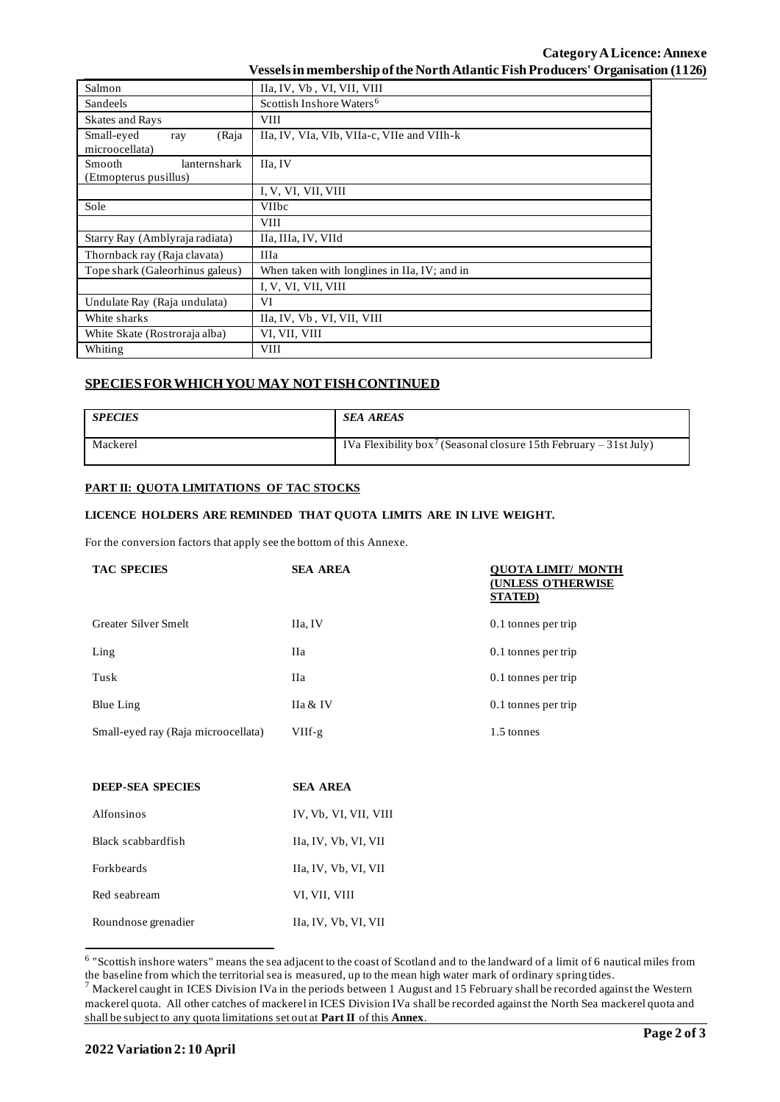| Salmon                          | IIa, IV, Vb, VI, VII, VIII                   |
|---------------------------------|----------------------------------------------|
| Sandeels                        | Scottish Inshore Waters <sup>6</sup>         |
| <b>Skates and Rays</b>          | <b>VIII</b>                                  |
| Small-eyed<br>(Raja<br>ray      | IIa, IV, VIa, VIb, VIIa-c, VIIe and VIIh-k   |
| microocellata)                  |                                              |
| lanternshark<br>Smooth          | IIa, IV                                      |
| (Etmopterus pusillus)           |                                              |
|                                 | I, V, VI, VII, VIII                          |
| Sole                            | <b>VIIbc</b>                                 |
|                                 | <b>VIII</b>                                  |
| Starry Ray (Amblyraja radiata)  | IIa, IIIa, IV, VIId                          |
| Thornback ray (Raja clavata)    | <b>IIIa</b>                                  |
| Tope shark (Galeorhinus galeus) | When taken with longlines in IIa, IV; and in |
|                                 | I, V, VI, VII, VIII                          |
| Undulate Ray (Raja undulata)    | VI                                           |
| White sharks                    | IIa, IV, Vb, VI, VII, VIII                   |
| White Skate (Rostroraja alba)   | VI, VII, VIII                                |
| Whiting                         | <b>VIII</b>                                  |

# **SPECIES FOR WHICH YOU MAY NOT FISH CONTINUED**

| <b>SPECIES</b> | <b>SEA AREAS</b>                                                              |
|----------------|-------------------------------------------------------------------------------|
| Mackerel       | IVa Flexibility box <sup>7</sup> (Seasonal closure 15th February – 31st July) |

# **PART II: QUOTA LIMITATIONS OF TAC STOCKS**

#### **LICENCE HOLDERS ARE REMINDED THAT QUOTA LIMITS ARE IN LIVE WEIGHT.**

For the conversion factors that apply see the bottom of this Annexe.

| <b>TAC SPECIES</b>                  | <b>SEA AREA</b> | OUOTA LIMIT/ MONTH<br><b>(UNLESS OTHERWISE</b><br><b>STATED</b> ) |
|-------------------------------------|-----------------|-------------------------------------------------------------------|
| Greater Silver Smelt                | IIa, IV         | 0.1 tonnes per trip                                               |
| Ling                                | Нa              | 0.1 tonnes per trip                                               |
| Tusk                                | Нa              | 0.1 tonnes per trip                                               |
| Blue Ling                           | IIa & IV        | 0.1 tonnes per trip                                               |
| Small-eyed ray (Raja microocellata) | VIIf-g          | 1.5 tonnes                                                        |

| <b>DEEP-SEA SPECIES</b> | <b>SEA AREA</b>       |
|-------------------------|-----------------------|
| Alfonsinos              | IV, Vb, VI, VII, VIII |
| Black scabbardfish      | IIa, IV, Vb, VI, VII  |
| Forkbeards              | IIa, IV, Vb, VI, VII  |
| Red seabream            | VI, VII, VIII         |
| Roundnose grenadier     | IIa, IV, Vb, VI, VII  |

<sup>&</sup>lt;sup>6</sup> "Scottish inshore waters" means the sea adjacent to the coast of Scotland and to the landward of a limit of 6 nautical miles from the baseline from which the territorial sea is measured, up to the mean high water mark of ordinary spring tides.

 $^7$  Mackerel caught in ICES Division IVa in the periods between 1 August and 15 February shall be recorded against the Western mackerel quota. All other catches of mackerel in ICES Division IVa shall be recorded against the North Sea mackerel quota and shall be subject to any quota limitations set out at **Part II** of this **Annex**.